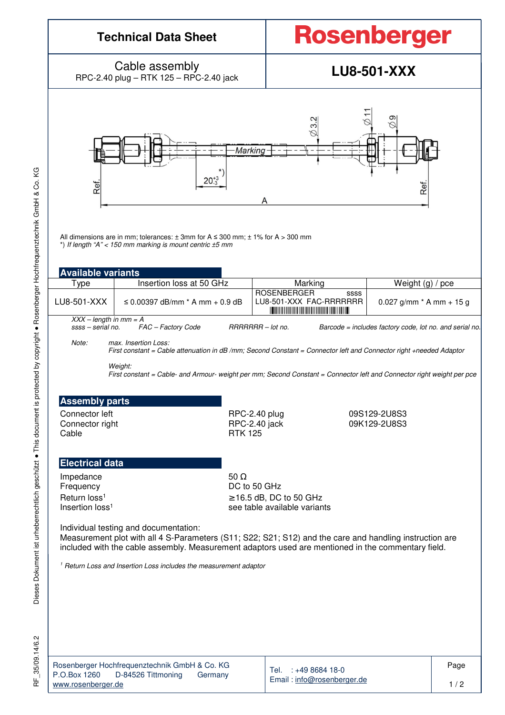# **Technical Data Sheet**

# **Rosenberger**

Cable assembly Cable assembly<br>RPC-2.40 plug – RTK 125 – RPC-2.40 jack **LU8-501-XXX** 



All dimensions are in mm; tolerances:  $\pm$  3mm for A  $\leq$  300 mm;  $\pm$  1% for A  $>$  300 mm \*) If length "A"  $<$  150 mm marking is mount centric  $\pm$ 5 mm

| <b>Available variants</b>                     |                                 |  |                    |                                                                                                               |                                                         |  |
|-----------------------------------------------|---------------------------------|--|--------------------|---------------------------------------------------------------------------------------------------------------|---------------------------------------------------------|--|
| ™уре                                          | Insertion loss at 50 GHz        |  | Marking            | Weight $(q) / pce$                                                                                            |                                                         |  |
| LU8-501-XXX                                   | ≤ 0.00397 dB/mm * A mm + 0.9 dB |  | <b>ROSENBERGER</b> | SSSS<br>LU8-501-XXX FAC-RRRRRRR<br><u> Indian American American State and American State and American Sta</u> | $0.027$ g/mm $*$ A mm + 15 g                            |  |
| $XXX - length in mm = A$<br>ssss – serial no. | FAC - Factory Code              |  | RRRRRRR - lot no.  |                                                                                                               | Barcode = includes factory code, lot no. and serial no. |  |

Note: max. Insertion Loss: First constant = Cable attenuation in dB /mm; Second Constant = Connector left and Connector right +needed Adaptor Weight:

First constant = Cable- and Armour- weight per mm; Second Constant = Connector left and Connector right weight per pce

#### **Assembly parts**

Connector left **Connector left** RPC-2.40 plug 09S129-2U8S3<br>Connector right RPC-2.40 jack 09K129-2U8S3 Connector right RPC-2.40 jack 09K129-2U8S3

**RTK 125** 

#### **Electrical data**

Impedance 50  $\Omega$ Insertion loss<sup>1</sup>

Frequency DC to 50 GHz Return  $\log^{1}$  ≥ 16.5 dB, DC to 50 GHz see table available variants

Individual testing and documentation:

Measurement plot with all 4 S-Parameters (S11; S22; S21; S12) and the care and handling instruction are included with the cable assembly. Measurement adaptors used are mentioned in the commentary field.

<sup>1</sup> Return Loss and Insertion Loss includes the measurement adaptor

RF\_35/09.14/6.2 35/09.14/6.2 눈

|                    | Rosenberger Hochfrequenztechnik GmbH & Co. KG |         |
|--------------------|-----------------------------------------------|---------|
| P.O.Box 1260       | D-84526 Tittmoning                            | Germany |
| www.rosenberger.de |                                               |         |

Tel. : +49 8684 18-0 Email : info@rosenberger.de